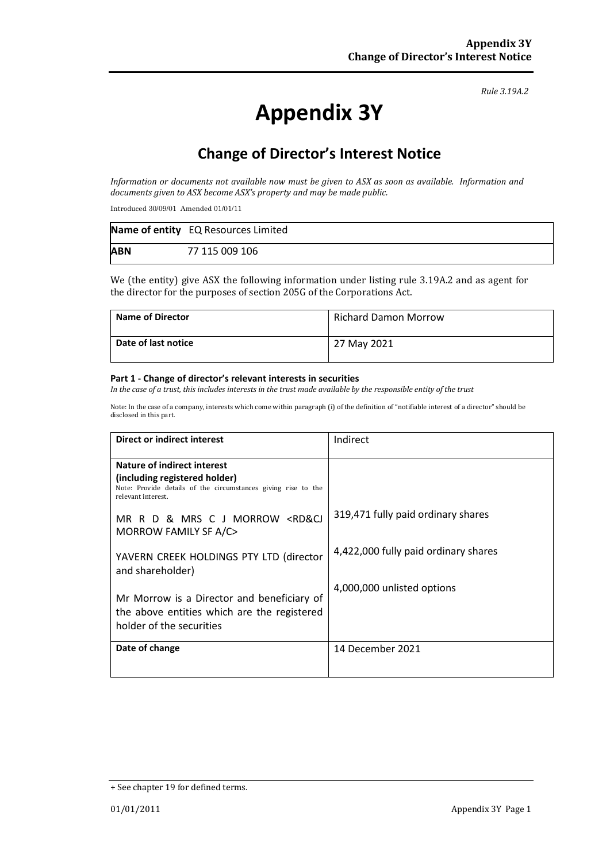#### *Rule 3.19A.2*

# **Appendix 3Y**

### **Change of Director's Interest Notice**

*Information or documents not available now must be given to ASX as soon as available. Information and documents given to ASX become ASX's property and may be made public.*

Introduced 30/09/01 Amended 01/01/11

|            | Name of entity EQ Resources Limited |
|------------|-------------------------------------|
| <b>ABN</b> | 77 115 009 106                      |

We (the entity) give ASX the following information under listing rule 3.19A.2 and as agent for the director for the purposes of section 205G of the Corporations Act.

| <b>Name of Director</b> | <b>Richard Damon Morrow</b> |
|-------------------------|-----------------------------|
| Date of last notice     | 27 May 2021                 |

#### **Part 1 - Change of director's relevant interests in securities**

*In the case of a trust, this includes interests in the trust made available by the responsible entity of the trust*

Note: In the case of a company, interests which come within paragraph (i) of the definition of "notifiable interest of a director" should be disclosed in this part.

| <b>Direct or indirect interest</b>                                                                                                                                                                                                                | Indirect                             |
|---------------------------------------------------------------------------------------------------------------------------------------------------------------------------------------------------------------------------------------------------|--------------------------------------|
| Nature of indirect interest<br>(including registered holder)<br>Note: Provide details of the circumstances giving rise to the<br>relevant interest.<br>MR R D & MRS C J MORROW <rd&cj< th=""><th>319,471 fully paid ordinary shares</th></rd&cj<> | 319,471 fully paid ordinary shares   |
| MORROW FAMILY SF A/C><br>YAVERN CREEK HOLDINGS PTY LTD (director<br>and shareholder)                                                                                                                                                              | 4,422,000 fully paid ordinary shares |
| Mr Morrow is a Director and beneficiary of<br>the above entities which are the registered<br>holder of the securities                                                                                                                             | 4,000,000 unlisted options           |
| Date of change                                                                                                                                                                                                                                    | 14 December 2021                     |

<sup>+</sup> See chapter 19 for defined terms.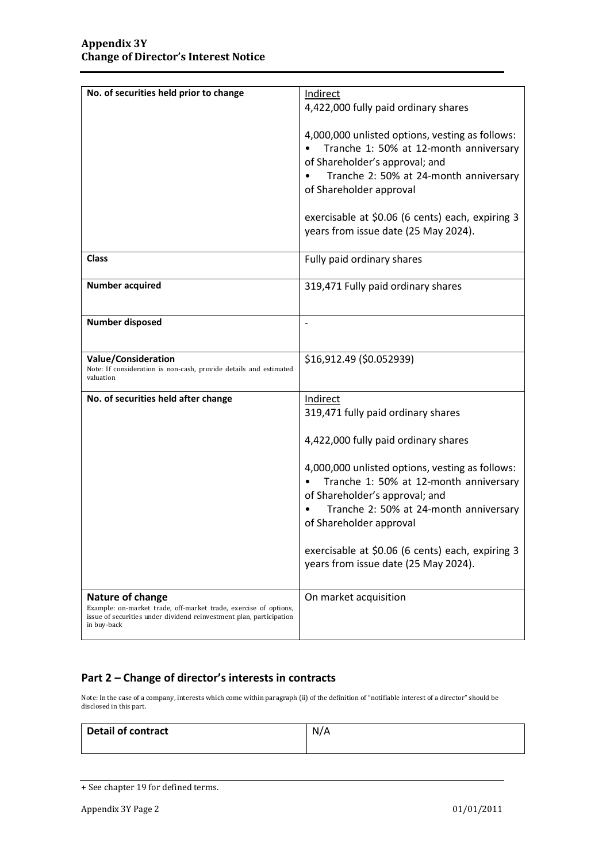| No. of securities held prior to change                                                                                                                                     | Indirect                                                                                                                                                                                         |
|----------------------------------------------------------------------------------------------------------------------------------------------------------------------------|--------------------------------------------------------------------------------------------------------------------------------------------------------------------------------------------------|
|                                                                                                                                                                            | 4,422,000 fully paid ordinary shares                                                                                                                                                             |
|                                                                                                                                                                            | 4,000,000 unlisted options, vesting as follows:<br>Tranche 1: 50% at 12-month anniversary<br>of Shareholder's approval; and<br>Tranche 2: 50% at 24-month anniversary<br>of Shareholder approval |
|                                                                                                                                                                            | exercisable at \$0.06 (6 cents) each, expiring 3                                                                                                                                                 |
|                                                                                                                                                                            | years from issue date (25 May 2024).                                                                                                                                                             |
| <b>Class</b>                                                                                                                                                               | Fully paid ordinary shares                                                                                                                                                                       |
| <b>Number acquired</b>                                                                                                                                                     | 319,471 Fully paid ordinary shares                                                                                                                                                               |
|                                                                                                                                                                            |                                                                                                                                                                                                  |
|                                                                                                                                                                            |                                                                                                                                                                                                  |
| <b>Number disposed</b>                                                                                                                                                     |                                                                                                                                                                                                  |
| <b>Value/Consideration</b><br>Note: If consideration is non-cash, provide details and estimated<br>valuation                                                               | \$16,912.49 (\$0.052939)                                                                                                                                                                         |
| No. of securities held after change                                                                                                                                        | Indirect                                                                                                                                                                                         |
|                                                                                                                                                                            | 319,471 fully paid ordinary shares                                                                                                                                                               |
|                                                                                                                                                                            |                                                                                                                                                                                                  |
|                                                                                                                                                                            | 4,422,000 fully paid ordinary shares                                                                                                                                                             |
|                                                                                                                                                                            | 4,000,000 unlisted options, vesting as follows:<br>Tranche 1: 50% at 12-month anniversary<br>of Shareholder's approval; and<br>Tranche 2: 50% at 24-month anniversary<br>of Shareholder approval |
|                                                                                                                                                                            | exercisable at \$0.06 (6 cents) each, expiring 3<br>years from issue date (25 May 2024).                                                                                                         |
| Nature of change<br>Example: on-market trade, off-market trade, exercise of options,<br>issue of securities under dividend reinvestment plan, participation<br>in buy-back | On market acquisition                                                                                                                                                                            |

### **Part 2 – Change of director's interests in contracts**

Note: In the case of a company, interests which come within paragraph (ii) of the definition of "notifiable interest of a director" should be disclosed in this part.

| <b>Detail of contract</b> | N/A |
|---------------------------|-----|
|                           |     |

<sup>+</sup> See chapter 19 for defined terms.